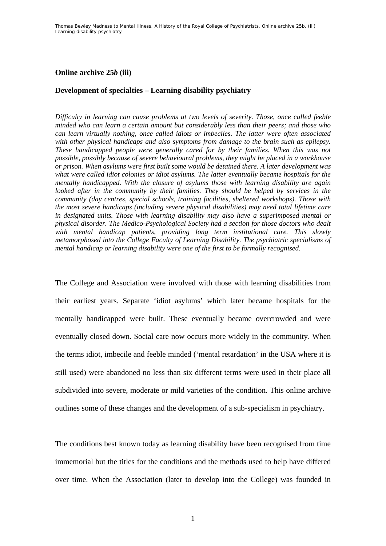## **Online archive 25***b* **(iii)**

### **Development of specialties – Learning disability psychiatry**

*Difficulty in learning can cause problems at two levels of severity. Those, once called feeble minded who can learn a certain amount but considerably less than their peers; and those who can learn virtually nothing, once called idiots or imbeciles. The latter were often associated with other physical handicaps and also symptoms from damage to the brain such as epilepsy. These handicapped people were generally cared for by their families. When this was not possible, possibly because of severe behavioural problems, they might be placed in a workhouse or prison. When asylums were first built some would be detained there. A later development was what were called idiot colonies or idiot asylums. The latter eventually became hospitals for the mentally handicapped. With the closure of asylums those with learning disability are again looked after in the community by their families. They should be helped by services in the community (day centres, special schools, training facilities, sheltered workshops). Those with the most severe handicaps (including severe physical disabilities) may need total lifetime care in designated units. Those with learning disability may also have a superimposed mental or physical disorder. The Medico-Psychological Society had a section for those doctors who dealt*  with mental handicap patients, providing long term institutional care. This slowly *metamorphosed into the College Faculty of Learning Disability. The psychiatric specialisms of mental handicap or learning disability were one of the first to be formally recognised.* 

The College and Association were involved with those with learning disabilities from their earliest years. Separate 'idiot asylums' which later became hospitals for the mentally handicapped were built. These eventually became overcrowded and were eventually closed down. Social care now occurs more widely in the community. When the terms idiot, imbecile and feeble minded ('mental retardation' in the USA where it is still used) were abandoned no less than six different terms were used in their place all subdivided into severe, moderate or mild varieties of the condition. This online archive outlines some of these changes and the development of a sub-specialism in psychiatry.

The conditions best known today as learning disability have been recognised from time immemorial but the titles for the conditions and the methods used to help have differed over time. When the Association (later to develop into the College) was founded in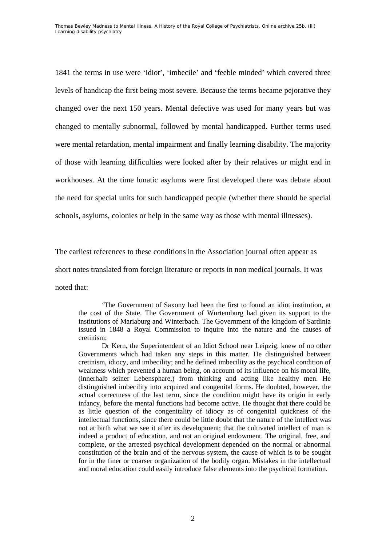1841 the terms in use were 'idiot', 'imbecile' and 'feeble minded' which covered three levels of handicap the first being most severe. Because the terms became pejorative they changed over the next 150 years. Mental defective was used for many years but was changed to mentally subnormal, followed by mental handicapped. Further terms used were mental retardation, mental impairment and finally learning disability. The majority of those with learning difficulties were looked after by their relatives or might end in workhouses. At the time lunatic asylums were first developed there was debate about the need for special units for such handicapped people (whether there should be special schools, asylums, colonies or help in the same way as those with mental illnesses).

The earliest references to these conditions in the Association journal often appear as short notes translated from foreign literature or reports in non medical journals. It was noted that:

'The Government of Saxony had been the first to found an idiot institution, at the cost of the State. The Government of Wurtemburg had given its support to the institutions of Mariaburg and Winterbach. The Government of the kingdom of Sardinia issued in 1848 a Royal Commission to inquire into the nature and the causes of cretinism;

Dr Kern, the Superintendent of an Idiot School near Leipzig, knew of no other Governments which had taken any steps in this matter. He distinguished between cretinism, idiocy, and imbecility; and he defined imbecility as the psychical condition of weakness which prevented a human being, on account of its influence on his moral life, (innerhalb seiner Lebensphare,) from thinking and acting like healthy men. He distinguished imbecility into acquired and congenital forms. He doubted, however, the actual correctness of the last term, since the condition might have its origin in early infancy, before the mental functions had become active. He thought that there could be as little question of the congenitality of idiocy as of congenital quickness of the intellectual functions, since there could be little doubt that the nature of the intellect was not at birth what we see it after its development; that the cultivated intellect of man is indeed a product of education, and not an original endowment. The original, free, and complete, or the arrested psychical development depended on the normal or abnormal constitution of the brain and of the nervous system, the cause of which is to be sought for in the finer or coarser organization of the bodily organ. Mistakes in the intellectual and moral education could easily introduce false elements into the psychical formation.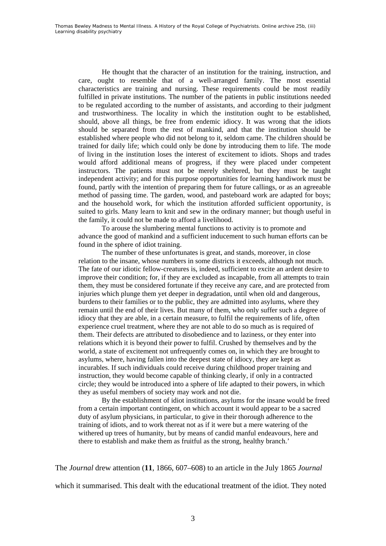He thought that the character of an institution for the training, instruction, and care, ought to resemble that of a well-arranged family. The most essential characteristics are training and nursing. These requirements could be most readily fulfilled in private institutions. The number of the patients in public institutions needed to be regulated according to the number of assistants, and according to their judgment and trustworthiness. The locality in which the institution ought to be established, should, above all things, be free from endemic idiocy. It was wrong that the idiots should be separated from the rest of mankind, and that the institution should be established where people who did not belong to it, seldom came. The children should be trained for daily life; which could only be done by introducing them to life. The mode of living in the institution loses the interest of excitement to idiots. Shops and trades would afford additional means of progress, if they were placed under competent instructors. The patients must not be merely sheltered, but they must be taught independent activity; and for this purpose opportunities for learning handiwork must be found, partly with the intention of preparing them for future callings, or as an agreeable method of passing time. The garden, wood, and pasteboard work are adapted for boys; and the household work, for which the institution afforded sufficient opportunity, is suited to girls. Many learn to knit and sew in the ordinary manner; but though useful in the family, it could not be made to afford a livelihood.

To arouse the slumbering mental functions to activity is to promote and advance the good of mankind and a sufficient inducement to such human efforts can be found in the sphere of idiot training.

The number of these unfortunates is great, and stands, moreover, in close relation to the insane, whose numbers in some districts it exceeds, although not much. The fate of our idiotic fellow-creatures is, indeed, sufficient to excite an ardent desire to improve their condition; for, if they are excluded as incapable, from all attempts to train them, they must be considered fortunate if they receive any care, and are protected from injuries which plunge them yet deeper in degradation, until when old and dangerous, burdens to their families or to the public, they are admitted into asylums, where they remain until the end of their lives. But many of them, who only suffer such a degree of idiocy that they are able, in a certain measure, to fulfil the requirements of life, often experience cruel treatment, where they are not able to do so much as is required of them. Their defects are attributed to disobedience and to laziness, or they enter into relations which it is beyond their power to fulfil. Crushed by themselves and by the world, a state of excitement not unfrequently comes on, in which they are brought to asylums, where, having fallen into the deepest state of idiocy, they are kept as incurables. If such individuals could receive during childhood proper training and instruction, they would become capable of thinking clearly, if only in a contracted circle; they would be introduced into a sphere of life adapted to their powers, in which they as useful members of society may work and not die.

By the establishment of idiot institutions, asylums for the insane would be freed from a certain important contingent, on which account it would appear to be a sacred duty of asylum physicians, in particular, to give in their thorough adherence to the training of idiots, and to work thereat not as if it were but a mere watering of the withered up trees of humanity, but by means of candid manful endeavours, here and there to establish and make them as fruitful as the strong, healthy branch.'

The *Journal* drew attention (**11**, 1866, 607–608) to an article in the July 1865 *Journal*

which it summarised. This dealt with the educational treatment of the idiot. They noted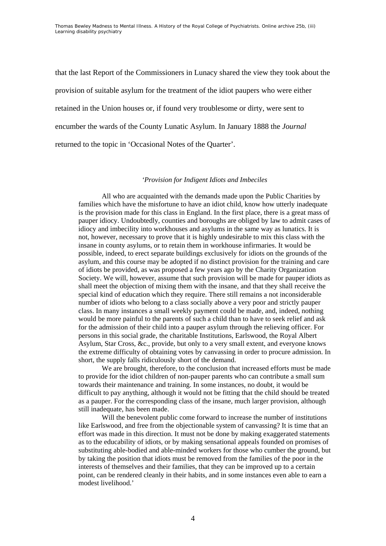that the last Report of the Commissioners in Lunacy shared the view they took about the provision of suitable asylum for the treatment of the idiot paupers who were either retained in the Union houses or, if found very troublesome or dirty, were sent to encumber the wards of the County Lunatic Asylum. In January 1888 the *Journal* returned to the topic in 'Occasional Notes of the Quarter'.

#### *'Provision for Indigent Idiots and Imbeciles*

All who are acquainted with the demands made upon the Public Charities by families which have the misfortune to have an idiot child, know how utterly inadequate is the provision made for this class in England. In the first place, there is a great mass of pauper idiocy. Undoubtedly, counties and boroughs are obliged by law to admit cases of idiocy and imbecility into workhouses and asylums in the same way as lunatics. It is not, however, necessary to prove that it is highly undesirable to mix this class with the insane in county asylums, or to retain them in workhouse infirmaries. It would be possible, indeed, to erect separate buildings exclusively for idiots on the grounds of the asylum, and this course may be adopted if no distinct provision for the training and care of idiots be provided, as was proposed a few years ago by the Charity Organization Society. We will, however, assume that such provision will be made for pauper idiots as shall meet the objection of mixing them with the insane, and that they shall receive the special kind of education which they require. There still remains a not inconsiderable number of idiots who belong to a class socially above a very poor and strictly pauper class. In many instances a small weekly payment could be made, and, indeed, nothing would be more painful to the parents of such a child than to have to seek relief and ask for the admission of their child into a pauper asylum through the relieving officer. For persons in this social grade, the charitable Institutions, Earlswood, the Royal Albert Asylum, Star Cross, &c., provide, but only to a very small extent, and everyone knows the extreme difficulty of obtaining votes by canvassing in order to procure admission. In short, the supply falls ridiculously short of the demand.

We are brought, therefore, to the conclusion that increased efforts must be made to provide for the idiot children of non-pauper parents who can contribute a small sum towards their maintenance and training. In some instances, no doubt, it would be difficult to pay anything, although it would not be fitting that the child should be treated as a pauper. For the corresponding class of the insane, much larger provision, although still inadequate, has been made.

Will the benevolent public come forward to increase the number of institutions like Earlswood, and free from the objectionable system of canvassing? It is time that an effort was made in this direction. It must not be done by making exaggerated statements as to the educability of idiots, or by making sensational appeals founded on promises of substituting able-bodied and able-minded workers for those who cumber the ground, but by taking the position that idiots must be removed from the families of the poor in the interests of themselves and their families, that they can be improved up to a certain point, can be rendered cleanly in their habits, and in some instances even able to earn a modest livelihood.'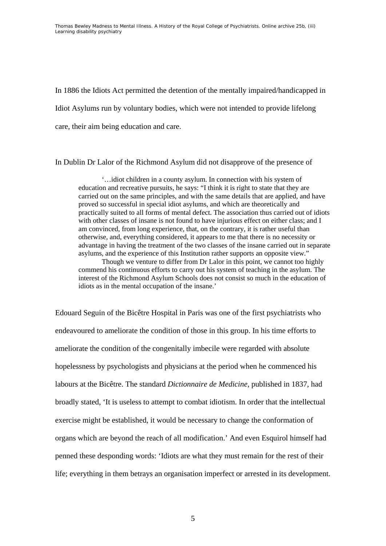In 1886 the Idiots Act permitted the detention of the mentally impaired/handicapped in Idiot Asylums run by voluntary bodies, which were not intended to provide lifelong care, their aim being education and care.

In Dublin Dr Lalor of the Richmond Asylum did not disapprove of the presence of

'…idiot children in a county asylum. In connection with his system of education and recreative pursuits, he says: "I think it is right to state that they are carried out on the same principles, and with the same details that are applied, and have proved so successful in special idiot asylums, and which are theoretically and practically suited to all forms of mental defect. The association thus carried out of idiots with other classes of insane is not found to have injurious effect on either class; and I am convinced, from long experience, that, on the contrary, it is rather useful than otherwise, and, everything considered, it appears to me that there is no necessity or advantage in having the treatment of the two classes of the insane carried out in separate asylums, and the experience of this Institution rather supports an opposite view." Though we venture to differ from Dr Lalor in this point, we cannot too highly

commend his continuous efforts to carry out his system of teaching in the asylum. The interest of the Richmond Asylum Schools does not consist so much in the education of idiots as in the mental occupation of the insane.'

Edouard Seguin of the Bicêtre Hospital in Paris was one of the first psychiatrists who endeavoured to ameliorate the condition of those in this group. In his time efforts to ameliorate the condition of the congenitally imbecile were regarded with absolute hopelessness by psychologists and physicians at the period when he commenced his labours at the Bicêtre. The standard *Dictionnaire de Medicine*, published in 1837, had broadly stated, 'It is useless to attempt to combat idiotism. In order that the intellectual exercise might be established, it would be necessary to change the conformation of organs which are beyond the reach of all modification.' And even Esquirol himself had penned these desponding words: 'Idiots are what they must remain for the rest of their life; everything in them betrays an organisation imperfect or arrested in its development.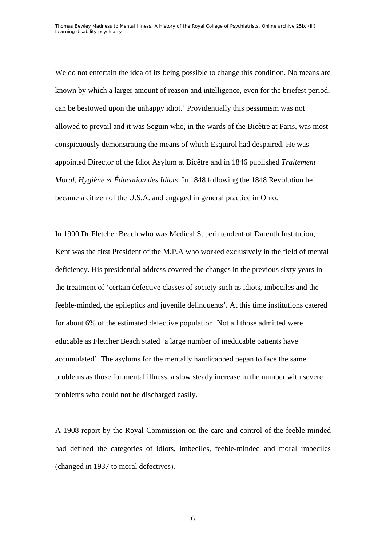We do not entertain the idea of its being possible to change this condition. No means are known by which a larger amount of reason and intelligence, even for the briefest period, can be bestowed upon the unhappy idiot.' Providentially this pessimism was not allowed to prevail and it was Seguin who, in the wards of the Bicêtre at Paris, was most conspicuously demonstrating the means of which Esquirol had despaired. He was appointed Director of the Idiot Asylum at Bicêtre and in 1846 published *Traitement Moral, Hygiène et Éducation des Idiots*. In 1848 following the 1848 Revolution he became a citizen of the U.S.A. and engaged in general practice in Ohio.

In 1900 Dr Fletcher Beach who was Medical Superintendent of Darenth Institution, Kent was the first President of the M.P.A who worked exclusively in the field of mental deficiency. His presidential address covered the changes in the previous sixty years in the treatment of 'certain defective classes of society such as idiots, imbeciles and the feeble-minded, the epileptics and juvenile delinquents'. At this time institutions catered for about 6% of the estimated defective population. Not all those admitted were educable as Fletcher Beach stated 'a large number of ineducable patients have accumulated'. The asylums for the mentally handicapped began to face the same problems as those for mental illness, a slow steady increase in the number with severe problems who could not be discharged easily.

A 1908 report by the Royal Commission on the care and control of the feeble-minded had defined the categories of idiots, imbeciles, feeble-minded and moral imbeciles (changed in 1937 to moral defectives).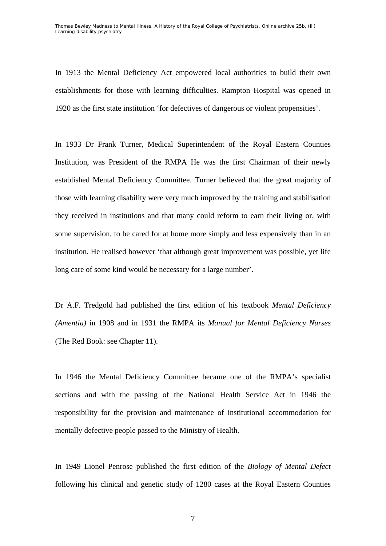In 1913 the Mental Deficiency Act empowered local authorities to build their own establishments for those with learning difficulties. Rampton Hospital was opened in 1920 as the first state institution 'for defectives of dangerous or violent propensities'.

In 1933 Dr Frank Turner, Medical Superintendent of the Royal Eastern Counties Institution, was President of the RMPA He was the first Chairman of their newly established Mental Deficiency Committee. Turner believed that the great majority of those with learning disability were very much improved by the training and stabilisation they received in institutions and that many could reform to earn their living or, with some supervision, to be cared for at home more simply and less expensively than in an institution. He realised however 'that although great improvement was possible, yet life long care of some kind would be necessary for a large number'.

Dr A.F. Tredgold had published the first edition of his textbook *Mental Deficiency (Amentia)* in 1908 and in 1931 the RMPA its *Manual for Mental Deficiency Nurses* (The Red Book: see Chapter 11).

In 1946 the Mental Deficiency Committee became one of the RMPA's specialist sections and with the passing of the National Health Service Act in 1946 the responsibility for the provision and maintenance of institutional accommodation for mentally defective people passed to the Ministry of Health.

In 1949 Lionel Penrose published the first edition of the *Biology of Mental Defect* following his clinical and genetic study of 1280 cases at the Royal Eastern Counties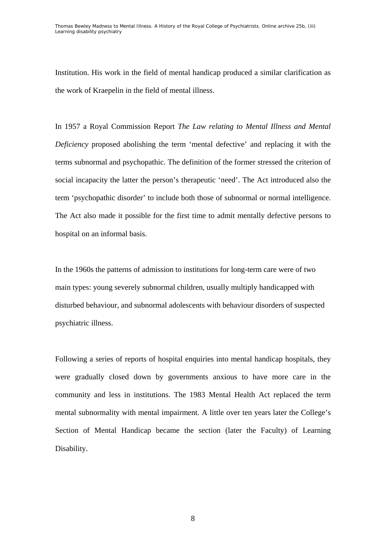Institution. His work in the field of mental handicap produced a similar clarification as the work of Kraepelin in the field of mental illness.

In 1957 a Royal Commission Report *The Law relating to Mental Illness and Mental Deficiency* proposed abolishing the term 'mental defective' and replacing it with the terms subnormal and psychopathic. The definition of the former stressed the criterion of social incapacity the latter the person's therapeutic 'need'. The Act introduced also the term 'psychopathic disorder' to include both those of subnormal or normal intelligence. The Act also made it possible for the first time to admit mentally defective persons to hospital on an informal basis.

In the 1960s the patterns of admission to institutions for long-term care were of two main types: young severely subnormal children, usually multiply handicapped with disturbed behaviour, and subnormal adolescents with behaviour disorders of suspected psychiatric illness.

Following a series of reports of hospital enquiries into mental handicap hospitals, they were gradually closed down by governments anxious to have more care in the community and less in institutions. The 1983 Mental Health Act replaced the term mental subnormality with mental impairment. A little over ten years later the College's Section of Mental Handicap became the section (later the Faculty) of Learning Disability.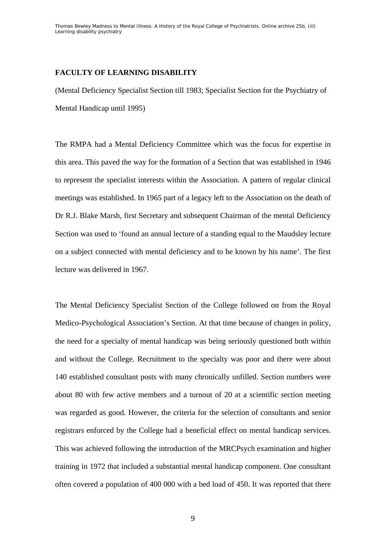# **FACULTY OF LEARNING DISABILITY**

(Mental Deficiency Specialist Section till 1983; Specialist Section for the Psychiatry of Mental Handicap until 1995)

The RMPA had a Mental Deficiency Committee which was the focus for expertise in this area. This paved the way for the formation of a Section that was established in 1946 to represent the specialist interests within the Association. A pattern of regular clinical meetings was established. In 1965 part of a legacy left to the Association on the death of Dr R.J. Blake Marsh, first Secretary and subsequent Chairman of the mental Deficiency Section was used to 'found an annual lecture of a standing equal to the Maudsley lecture on a subject connected with mental deficiency and to be known by his name'. The first lecture was delivered in 1967.

The Mental Deficiency Specialist Section of the College followed on from the Royal Medico-Psychological Association's Section. At that time because of changes in policy, the need for a specialty of mental handicap was being seriously questioned both within and without the College. Recruitment to the specialty was poor and there were about 140 established consultant posts with many chronically unfilled. Section numbers were about 80 with few active members and a turnout of 20 at a scientific section meeting was regarded as good. However, the criteria for the selection of consultants and senior registrars enforced by the College had a beneficial effect on mental handicap services. This was achieved following the introduction of the MRCPsych examination and higher training in 1972 that included a substantial mental handicap component. One consultant often covered a population of 400 000 with a bed load of 450. It was reported that there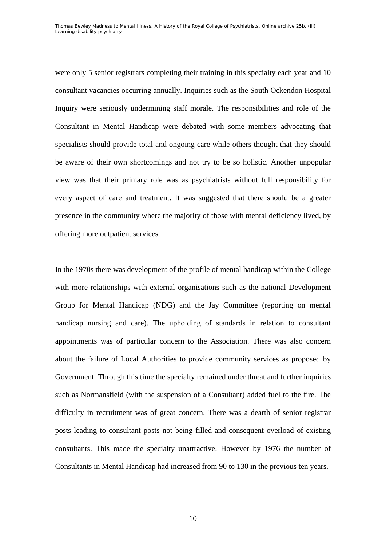were only 5 senior registrars completing their training in this specialty each year and 10 consultant vacancies occurring annually. Inquiries such as the South Ockendon Hospital Inquiry were seriously undermining staff morale. The responsibilities and role of the Consultant in Mental Handicap were debated with some members advocating that specialists should provide total and ongoing care while others thought that they should be aware of their own shortcomings and not try to be so holistic. Another unpopular view was that their primary role was as psychiatrists without full responsibility for every aspect of care and treatment. It was suggested that there should be a greater presence in the community where the majority of those with mental deficiency lived, by offering more outpatient services.

In the 1970s there was development of the profile of mental handicap within the College with more relationships with external organisations such as the national Development Group for Mental Handicap (NDG) and the Jay Committee (reporting on mental handicap nursing and care). The upholding of standards in relation to consultant appointments was of particular concern to the Association. There was also concern about the failure of Local Authorities to provide community services as proposed by Government. Through this time the specialty remained under threat and further inquiries such as Normansfield (with the suspension of a Consultant) added fuel to the fire. The difficulty in recruitment was of great concern. There was a dearth of senior registrar posts leading to consultant posts not being filled and consequent overload of existing consultants. This made the specialty unattractive. However by 1976 the number of Consultants in Mental Handicap had increased from 90 to 130 in the previous ten years.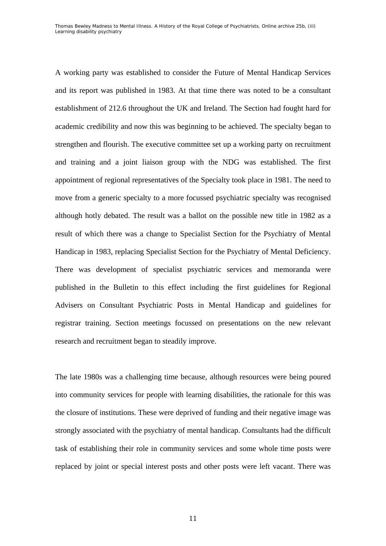A working party was established to consider the Future of Mental Handicap Services and its report was published in 1983. At that time there was noted to be a consultant establishment of 212.6 throughout the UK and Ireland. The Section had fought hard for academic credibility and now this was beginning to be achieved. The specialty began to strengthen and flourish. The executive committee set up a working party on recruitment and training and a joint liaison group with the NDG was established. The first appointment of regional representatives of the Specialty took place in 1981. The need to move from a generic specialty to a more focussed psychiatric specialty was recognised although hotly debated. The result was a ballot on the possible new title in 1982 as a result of which there was a change to Specialist Section for the Psychiatry of Mental Handicap in 1983, replacing Specialist Section for the Psychiatry of Mental Deficiency. There was development of specialist psychiatric services and memoranda were published in the Bulletin to this effect including the first guidelines for Regional Advisers on Consultant Psychiatric Posts in Mental Handicap and guidelines for registrar training. Section meetings focussed on presentations on the new relevant research and recruitment began to steadily improve.

The late 1980s was a challenging time because, although resources were being poured into community services for people with learning disabilities, the rationale for this was the closure of institutions. These were deprived of funding and their negative image was strongly associated with the psychiatry of mental handicap. Consultants had the difficult task of establishing their role in community services and some whole time posts were replaced by joint or special interest posts and other posts were left vacant. There was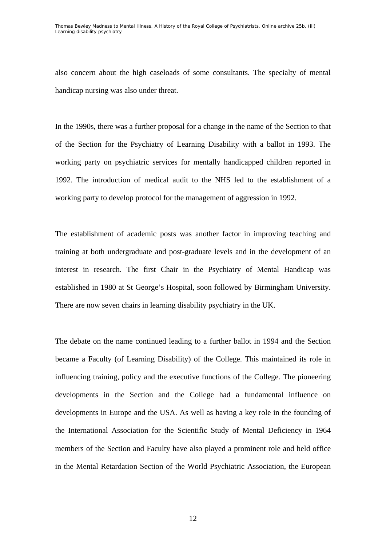also concern about the high caseloads of some consultants. The specialty of mental handicap nursing was also under threat.

In the 1990s, there was a further proposal for a change in the name of the Section to that of the Section for the Psychiatry of Learning Disability with a ballot in 1993. The working party on psychiatric services for mentally handicapped children reported in 1992. The introduction of medical audit to the NHS led to the establishment of a working party to develop protocol for the management of aggression in 1992.

The establishment of academic posts was another factor in improving teaching and training at both undergraduate and post-graduate levels and in the development of an interest in research. The first Chair in the Psychiatry of Mental Handicap was established in 1980 at St George's Hospital, soon followed by Birmingham University. There are now seven chairs in learning disability psychiatry in the UK.

The debate on the name continued leading to a further ballot in 1994 and the Section became a Faculty (of Learning Disability) of the College. This maintained its role in influencing training, policy and the executive functions of the College. The pioneering developments in the Section and the College had a fundamental influence on developments in Europe and the USA. As well as having a key role in the founding of the International Association for the Scientific Study of Mental Deficiency in 1964 members of the Section and Faculty have also played a prominent role and held office in the Mental Retardation Section of the World Psychiatric Association, the European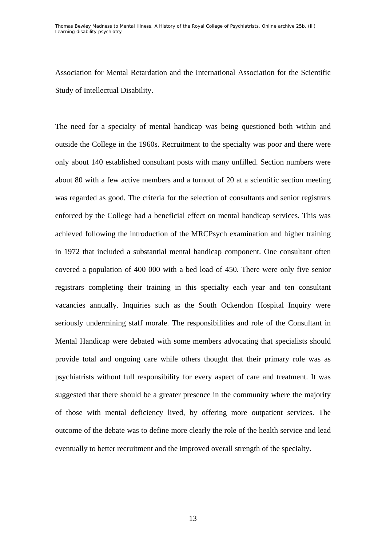Association for Mental Retardation and the International Association for the Scientific Study of Intellectual Disability.

The need for a specialty of mental handicap was being questioned both within and outside the College in the 1960s. Recruitment to the specialty was poor and there were only about 140 established consultant posts with many unfilled. Section numbers were about 80 with a few active members and a turnout of 20 at a scientific section meeting was regarded as good. The criteria for the selection of consultants and senior registrars enforced by the College had a beneficial effect on mental handicap services. This was achieved following the introduction of the MRCPsych examination and higher training in 1972 that included a substantial mental handicap component. One consultant often covered a population of 400 000 with a bed load of 450. There were only five senior registrars completing their training in this specialty each year and ten consultant vacancies annually. Inquiries such as the South Ockendon Hospital Inquiry were seriously undermining staff morale. The responsibilities and role of the Consultant in Mental Handicap were debated with some members advocating that specialists should provide total and ongoing care while others thought that their primary role was as psychiatrists without full responsibility for every aspect of care and treatment. It was suggested that there should be a greater presence in the community where the majority of those with mental deficiency lived, by offering more outpatient services. The outcome of the debate was to define more clearly the role of the health service and lead eventually to better recruitment and the improved overall strength of the specialty.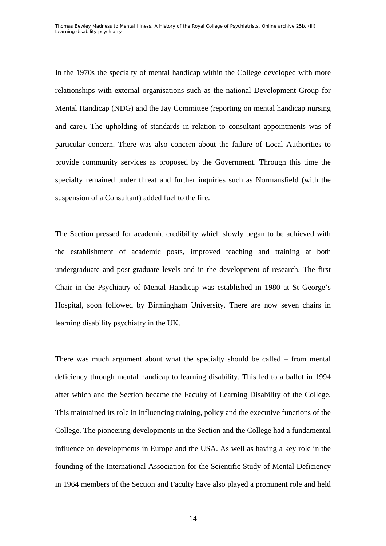In the 1970s the specialty of mental handicap within the College developed with more relationships with external organisations such as the national Development Group for Mental Handicap (NDG) and the Jay Committee (reporting on mental handicap nursing and care). The upholding of standards in relation to consultant appointments was of particular concern. There was also concern about the failure of Local Authorities to provide community services as proposed by the Government. Through this time the specialty remained under threat and further inquiries such as Normansfield (with the suspension of a Consultant) added fuel to the fire.

The Section pressed for academic credibility which slowly began to be achieved with the establishment of academic posts, improved teaching and training at both undergraduate and post-graduate levels and in the development of research. The first Chair in the Psychiatry of Mental Handicap was established in 1980 at St George's Hospital, soon followed by Birmingham University. There are now seven chairs in learning disability psychiatry in the UK.

There was much argument about what the specialty should be called – from mental deficiency through mental handicap to learning disability. This led to a ballot in 1994 after which and the Section became the Faculty of Learning Disability of the College. This maintained its role in influencing training, policy and the executive functions of the College. The pioneering developments in the Section and the College had a fundamental influence on developments in Europe and the USA. As well as having a key role in the founding of the International Association for the Scientific Study of Mental Deficiency in 1964 members of the Section and Faculty have also played a prominent role and held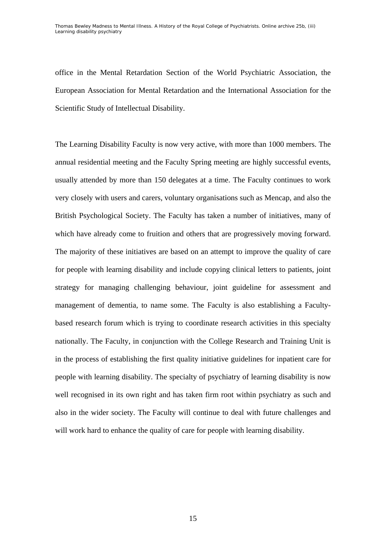office in the Mental Retardation Section of the World Psychiatric Association, the European Association for Mental Retardation and the International Association for the Scientific Study of Intellectual Disability.

The Learning Disability Faculty is now very active, with more than 1000 members. The annual residential meeting and the Faculty Spring meeting are highly successful events, usually attended by more than 150 delegates at a time. The Faculty continues to work very closely with users and carers, voluntary organisations such as Mencap, and also the British Psychological Society. The Faculty has taken a number of initiatives, many of which have already come to fruition and others that are progressively moving forward. The majority of these initiatives are based on an attempt to improve the quality of care for people with learning disability and include copying clinical letters to patients, joint strategy for managing challenging behaviour, joint guideline for assessment and management of dementia, to name some. The Faculty is also establishing a Facultybased research forum which is trying to coordinate research activities in this specialty nationally. The Faculty, in conjunction with the College Research and Training Unit is in the process of establishing the first quality initiative guidelines for inpatient care for people with learning disability. The specialty of psychiatry of learning disability is now well recognised in its own right and has taken firm root within psychiatry as such and also in the wider society. The Faculty will continue to deal with future challenges and will work hard to enhance the quality of care for people with learning disability.